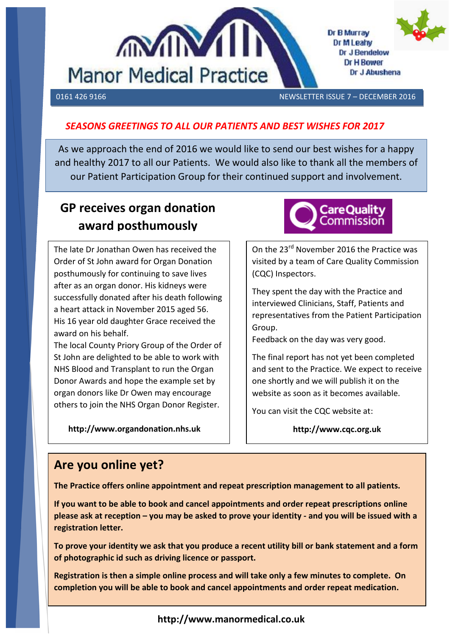



0161 426 9166 NEWSLETTER ISSUE 7 – DECEMBER 2016

Dr J Abushena

Dr B Murray Dr M Leahy Dr J Bendelow **Dr H Bower** 

## *SEASONS GREETINGS TO ALL OUR PATIENTS AND BEST WISHES FOR 2017*

As we approach the end of 2016 we would like to send our best wishes for a happy and healthy 2017 to all our Patients. We would also like to thank all the members of our Patient Participation Group for their continued support and involvement.

# **GP receives organ donation award posthumously**

The late Dr Jonathan Owen has received the Order of St John award for Organ Donation posthumously for continuing to save lives after as an organ donor. His kidneys were successfully donated after his death following a heart attack in November 2015 aged 56. His 16 year old daughter Grace received the award on his behalf.

The local County Priory Group of the Order of St John are delighted to be able to work with NHS Blood and Transplant to run the Organ Donor Awards and hope the example set by organ donors like Dr Owen may encourage others to join the NHS Organ Donor Register.

 **http://www.organdonation.nhs.uk**



On the 23<sup>rd</sup> November 2016 the Practice was visited by a team of Care Quality Commission (CQC) Inspectors.

They spent the day with the Practice and interviewed Clinicians, Staff, Patients and representatives from the Patient Participation Group.

Feedback on the day was very good.

The final report has not yet been completed and sent to the Practice. We expect to receive one shortly and we will publish it on the website as soon as it becomes available.

You can visit the CQC website at:

**http://www.cqc.org.uk**

# **Are you online yet?**

**The Practice offers online appointment and repeat prescription management to all patients.**

 **registration letter. If you want to be able to book and cancel appointments and order repeat prescriptions online please ask at reception – you may be asked to prove your identity - and you will be issued with a** 

**To prove your identity we ask that you produce a recent utility bill or bank statement and a form of photographic id such as driving licence or passport.**

**Registration is then a simple online process and will take only a few minutes to complete. On completion you will be able to book and cancel appointments and order repeat medication.**

**http://www.manormedical.co.uk**